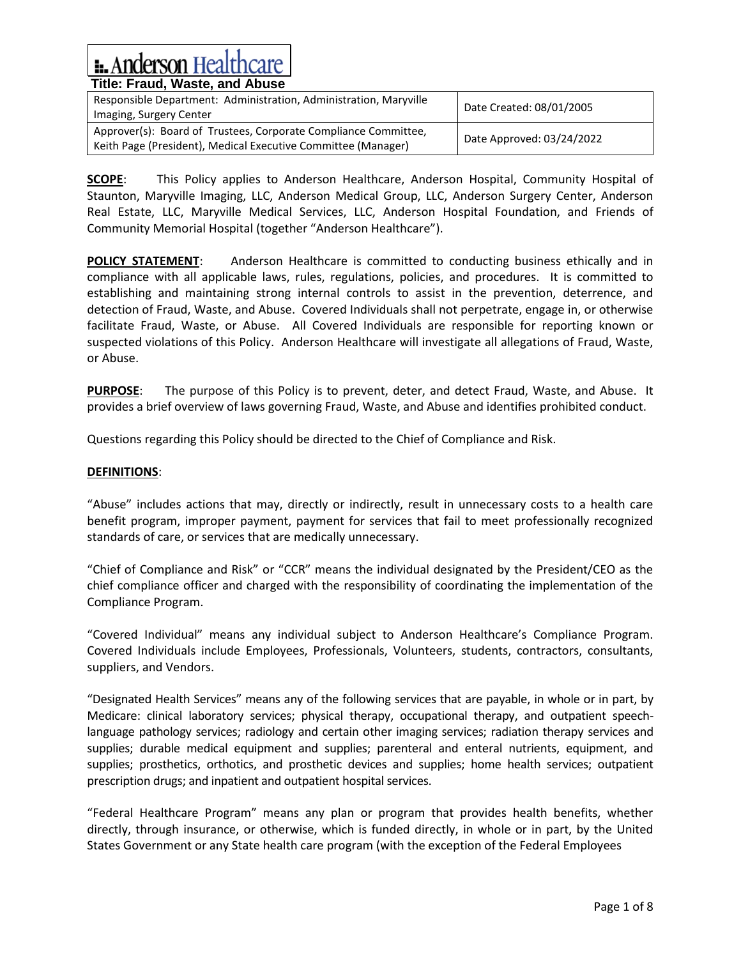# **E.** Anderson Health

**Title: Fraud, Waste, and Abuse**

| Responsible Department: Administration, Administration, Maryville<br>Imaging, Surgery Center                                     | Date Created: 08/01/2005  |
|----------------------------------------------------------------------------------------------------------------------------------|---------------------------|
| Approver(s): Board of Trustees, Corporate Compliance Committee,<br>Keith Page (President), Medical Executive Committee (Manager) | Date Approved: 03/24/2022 |

**SCOPE**: This Policy applies to Anderson Healthcare, Anderson Hospital, Community Hospital of Staunton, Maryville Imaging, LLC, Anderson Medical Group, LLC, Anderson Surgery Center, Anderson Real Estate, LLC, Maryville Medical Services, LLC, Anderson Hospital Foundation, and Friends of Community Memorial Hospital (together "Anderson Healthcare").

**POLICY STATEMENT:** Anderson Healthcare is committed to conducting business ethically and in compliance with all applicable laws, rules, regulations, policies, and procedures. It is committed to establishing and maintaining strong internal controls to assist in the prevention, deterrence, and detection of Fraud, Waste, and Abuse. Covered Individuals shall not perpetrate, engage in, or otherwise facilitate Fraud, Waste, or Abuse. All Covered Individuals are responsible for reporting known or suspected violations of this Policy. Anderson Healthcare will investigate all allegations of Fraud, Waste, or Abuse.

**PURPOSE**: The purpose of this Policy is to prevent, deter, and detect Fraud, Waste, and Abuse. It provides a brief overview of laws governing Fraud, Waste, and Abuse and identifies prohibited conduct.

Questions regarding this Policy should be directed to the Chief of Compliance and Risk.

#### **DEFINITIONS**:

"Abuse" includes actions that may, directly or indirectly, result in unnecessary costs to a health care benefit program, improper payment, payment for services that fail to meet professionally recognized standards of care, or services that are medically unnecessary.

"Chief of Compliance and Risk" or "CCR" means the individual designated by the President/CEO as the chief compliance officer and charged with the responsibility of coordinating the implementation of the Compliance Program.

"Covered Individual" means any individual subject to Anderson Healthcare's Compliance Program. Covered Individuals include Employees, Professionals, Volunteers, students, contractors, consultants, suppliers, and Vendors.

"Designated Health Services" means any of the following services that are payable, in whole or in part, by Medicare: clinical laboratory services; physical therapy, occupational therapy, and outpatient speechlanguage pathology services; radiology and certain other imaging services; radiation therapy services and supplies; durable medical equipment and supplies; parenteral and enteral nutrients, equipment, and supplies; prosthetics, orthotics, and prosthetic devices and supplies; home health services; outpatient prescription drugs; and inpatient and outpatient hospital services.

"Federal Healthcare Program" means any plan or program that provides health benefits, whether directly, through insurance, or otherwise, which is funded directly, in whole or in part, by the United States Government or any State health care program (with the exception of the Federal Employees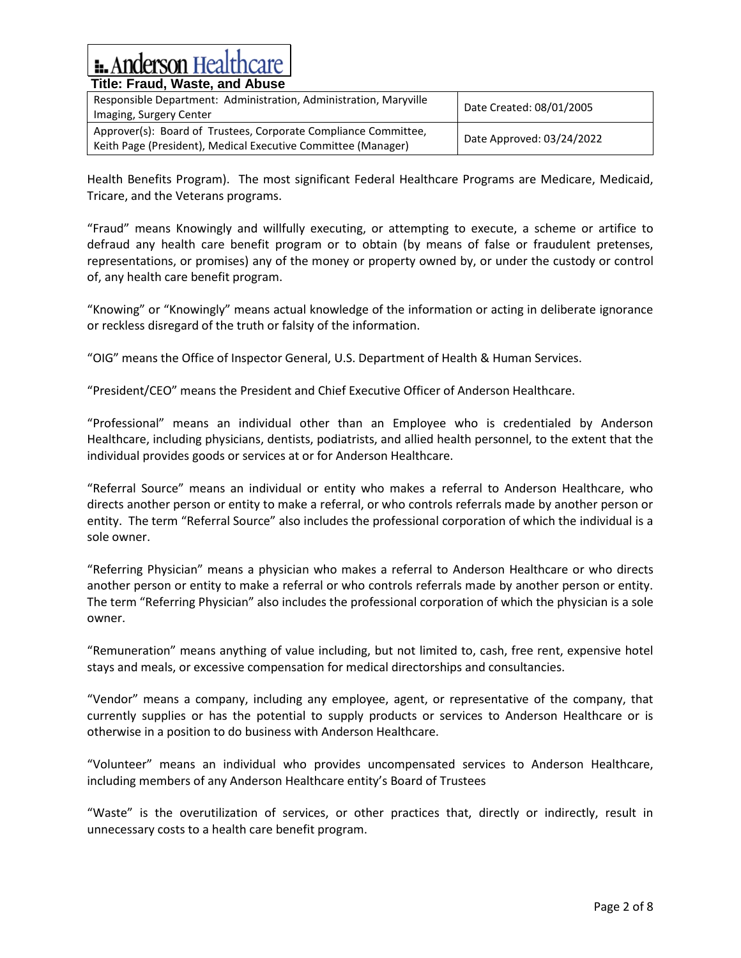## **E.** Anderson Health

**Title: Fraud, Waste, and Abuse**

| Responsible Department: Administration, Administration, Maryville<br>Imaging, Surgery Center                                     | Date Created: 08/01/2005  |
|----------------------------------------------------------------------------------------------------------------------------------|---------------------------|
| Approver(s): Board of Trustees, Corporate Compliance Committee,<br>Keith Page (President), Medical Executive Committee (Manager) | Date Approved: 03/24/2022 |

Health Benefits Program). The most significant Federal Healthcare Programs are Medicare, Medicaid, Tricare, and the Veterans programs.

"Fraud" means Knowingly and willfully executing, or attempting to execute, a scheme or artifice to defraud any health care benefit program or to obtain (by means of false or fraudulent pretenses, representations, or promises) any of the money or property owned by, or under the custody or control of, any health care benefit program.

"Knowing" or "Knowingly" means actual knowledge of the information or acting in deliberate ignorance or reckless disregard of the truth or falsity of the information.

"OIG" means the Office of Inspector General, U.S. Department of Health & Human Services.

"President/CEO" means the President and Chief Executive Officer of Anderson Healthcare.

"Professional" means an individual other than an Employee who is credentialed by Anderson Healthcare, including physicians, dentists, podiatrists, and allied health personnel, to the extent that the individual provides goods or services at or for Anderson Healthcare.

"Referral Source" means an individual or entity who makes a referral to Anderson Healthcare, who directs another person or entity to make a referral, or who controls referrals made by another person or entity. The term "Referral Source" also includes the professional corporation of which the individual is a sole owner.

"Referring Physician" means a physician who makes a referral to Anderson Healthcare or who directs another person or entity to make a referral or who controls referrals made by another person or entity. The term "Referring Physician" also includes the professional corporation of which the physician is a sole owner.

"Remuneration" means anything of value including, but not limited to, cash, free rent, expensive hotel stays and meals, or excessive compensation for medical directorships and consultancies.

"Vendor" means a company, including any employee, agent, or representative of the company, that currently supplies or has the potential to supply products or services to Anderson Healthcare or is otherwise in a position to do business with Anderson Healthcare.

"Volunteer" means an individual who provides uncompensated services to Anderson Healthcare, including members of any Anderson Healthcare entity's Board of Trustees

"Waste" is the overutilization of services, or other practices that, directly or indirectly, result in unnecessary costs to a health care benefit program.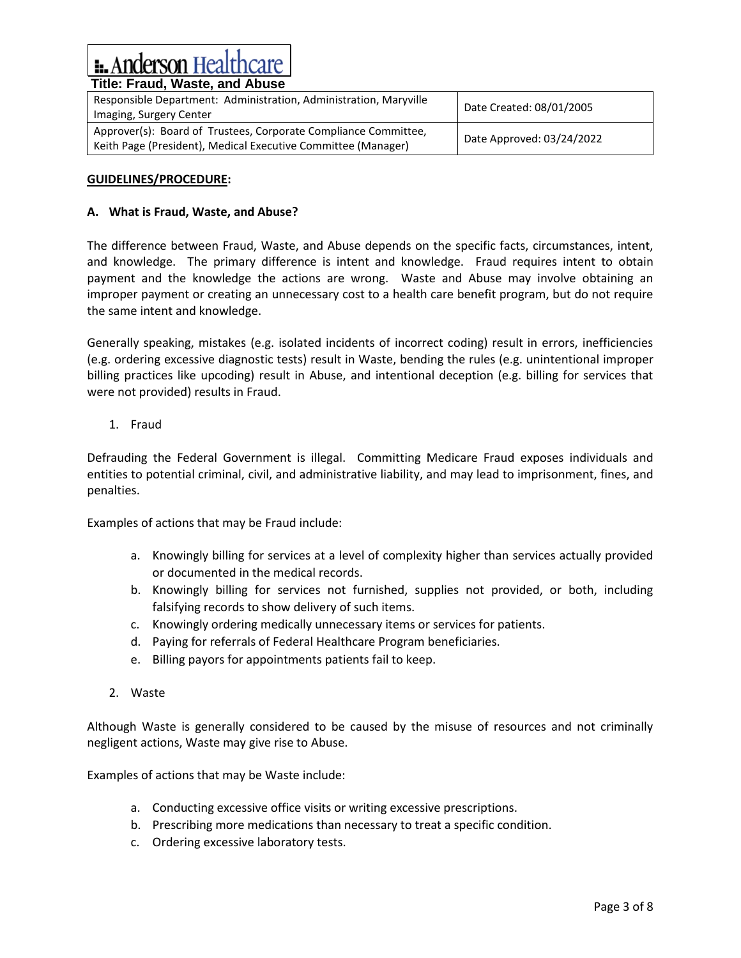# **E.** Anderson Healthc

### **Title: Fraud, Waste, and Abuse**

| Responsible Department: Administration, Administration, Maryville<br>Imaging, Surgery Center                                     | Date Created: 08/01/2005  |
|----------------------------------------------------------------------------------------------------------------------------------|---------------------------|
| Approver(s): Board of Trustees, Corporate Compliance Committee,<br>Keith Page (President), Medical Executive Committee (Manager) | Date Approved: 03/24/2022 |

#### **GUIDELINES/PROCEDURE:**

### **A. What is Fraud, Waste, and Abuse?**

The difference between Fraud, Waste, and Abuse depends on the specific facts, circumstances, intent, and knowledge. The primary difference is intent and knowledge. Fraud requires intent to obtain payment and the knowledge the actions are wrong. Waste and Abuse may involve obtaining an improper payment or creating an unnecessary cost to a health care benefit program, but do not require the same intent and knowledge.

Generally speaking, mistakes (e.g. isolated incidents of incorrect coding) result in errors, inefficiencies (e.g. ordering excessive diagnostic tests) result in Waste, bending the rules (e.g. unintentional improper billing practices like upcoding) result in Abuse, and intentional deception (e.g. billing for services that were not provided) results in Fraud.

1. Fraud

Defrauding the Federal Government is illegal. Committing Medicare Fraud exposes individuals and entities to potential criminal, civil, and administrative liability, and may lead to imprisonment, fines, and penalties.

Examples of actions that may be Fraud include:

- a. Knowingly billing for services at a level of complexity higher than services actually provided or documented in the medical records.
- b. Knowingly billing for services not furnished, supplies not provided, or both, including falsifying records to show delivery of such items.
- c. Knowingly ordering medically unnecessary items or services for patients.
- d. Paying for referrals of Federal Healthcare Program beneficiaries.
- e. Billing payors for appointments patients fail to keep.
- 2. Waste

Although Waste is generally considered to be caused by the misuse of resources and not criminally negligent actions, Waste may give rise to Abuse.

Examples of actions that may be Waste include:

- a. Conducting excessive office visits or writing excessive prescriptions.
- b. Prescribing more medications than necessary to treat a specific condition.
- c. Ordering excessive laboratory tests.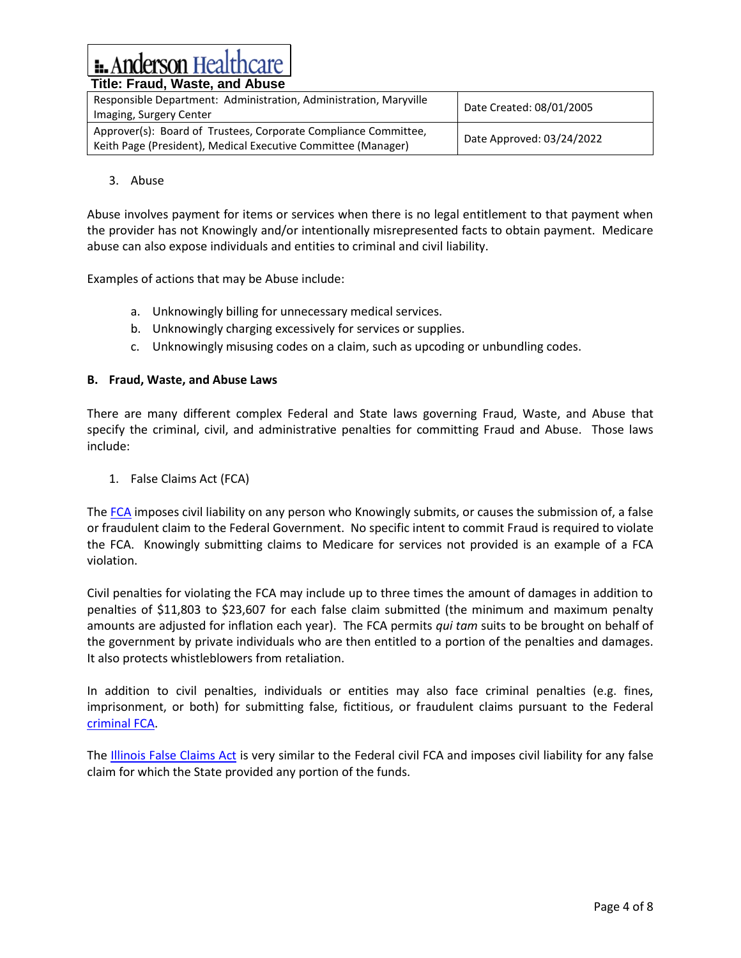## **E.** Anderson Healt

### **Title: Fraud, Waste, and Abuse**

| Responsible Department: Administration, Administration, Maryville<br>Imaging, Surgery Center                                     | Date Created: 08/01/2005  |
|----------------------------------------------------------------------------------------------------------------------------------|---------------------------|
| Approver(s): Board of Trustees, Corporate Compliance Committee,<br>Keith Page (President), Medical Executive Committee (Manager) | Date Approved: 03/24/2022 |

### 3. Abuse

Abuse involves payment for items or services when there is no legal entitlement to that payment when the provider has not Knowingly and/or intentionally misrepresented facts to obtain payment. Medicare abuse can also expose individuals and entities to criminal and civil liability.

Examples of actions that may be Abuse include:

- a. Unknowingly billing for unnecessary medical services.
- b. Unknowingly charging excessively for services or supplies.
- c. Unknowingly misusing codes on a claim, such as upcoding or unbundling codes.

### **B. Fraud, Waste, and Abuse Laws**

There are many different complex Federal and State laws governing Fraud, Waste, and Abuse that specify the criminal, civil, and administrative penalties for committing Fraud and Abuse. Those laws include:

1. False Claims Act (FCA)

The [FCA](https://www.law.cornell.edu/uscode/text/31/3729) imposes civil liability on any person who Knowingly submits, or causes the submission of, a false or fraudulent claim to the Federal Government. No specific intent to commit Fraud is required to violate the FCA. Knowingly submitting claims to Medicare for services not provided is an example of a FCA violation.

Civil penalties for violating the FCA may include up to three times the amount of damages in addition to penalties of \$11,803 to \$23,607 for each false claim submitted (the minimum and maximum penalty amounts are adjusted for inflation each year). The FCA permits *qui tam* suits to be brought on behalf of the government by private individuals who are then entitled to a portion of the penalties and damages. It also protects whistleblowers from retaliation.

In addition to civil penalties, individuals or entities may also face criminal penalties (e.g. fines, imprisonment, or both) for submitting false, fictitious, or fraudulent claims pursuant to the Federal [criminal FCA.](https://www.law.cornell.edu/uscode/text/18/287)

The [Illinois False Claims Act](https://www.ilga.gov/legislation/ilcs/ilcs3.asp?ActID=2058&ChapterID=57) is very similar to the Federal civil FCA and imposes civil liability for any false claim for which the State provided any portion of the funds.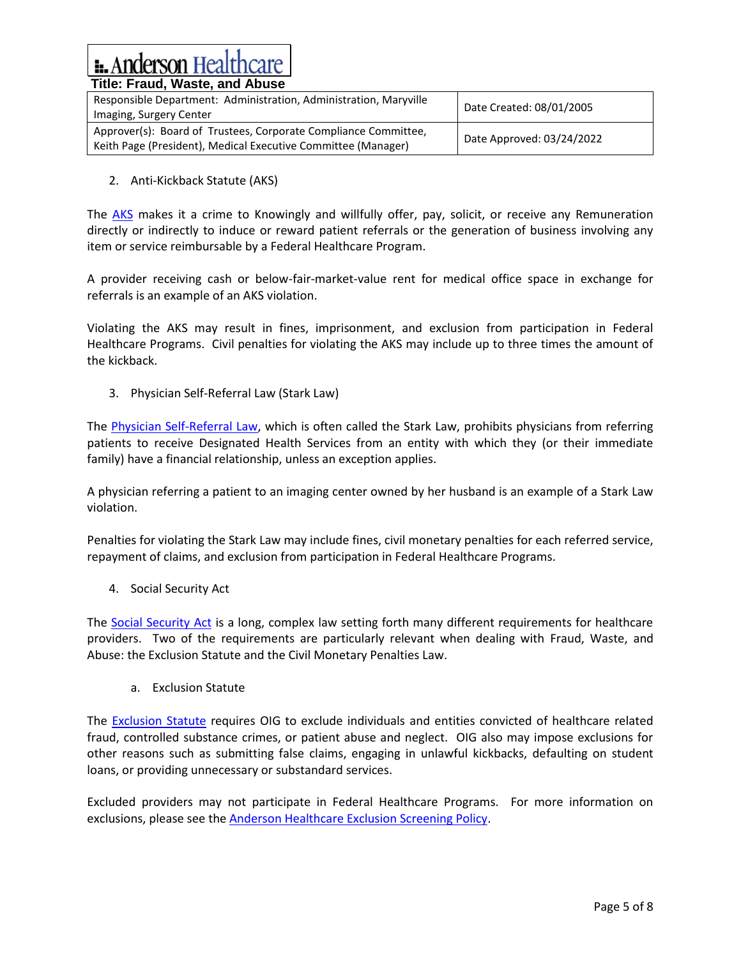### **E.** Anderson Healthcare

### **Title: Fraud, Waste, and Abuse**

| Responsible Department: Administration, Administration, Maryville<br>Imaging, Surgery Center                                     | Date Created: 08/01/2005  |
|----------------------------------------------------------------------------------------------------------------------------------|---------------------------|
| Approver(s): Board of Trustees, Corporate Compliance Committee,<br>Keith Page (President), Medical Executive Committee (Manager) | Date Approved: 03/24/2022 |

2. Anti-Kickback Statute (AKS)

The [AKS](https://www.law.cornell.edu/uscode/text/42/1320a-7b) makes it a crime to Knowingly and willfully offer, pay, solicit, or receive any Remuneration directly or indirectly to induce or reward patient referrals or the generation of business involving any item or service reimbursable by a Federal Healthcare Program.

A provider receiving cash or below-fair-market-value rent for medical office space in exchange for referrals is an example of an AKS violation.

Violating the AKS may result in fines, imprisonment, and exclusion from participation in Federal Healthcare Programs. Civil penalties for violating the AKS may include up to three times the amount of the kickback.

3. Physician Self-Referral Law (Stark Law)

The [Physician Self-Referral Law,](https://www.law.cornell.edu/uscode/text/42/1395nn) which is often called the Stark Law, prohibits physicians from referring patients to receive Designated Health Services from an entity with which they (or their immediate family) have a financial relationship, unless an exception applies.

A physician referring a patient to an imaging center owned by her husband is an example of a Stark Law violation.

Penalties for violating the Stark Law may include fines, civil monetary penalties for each referred service, repayment of claims, and exclusion from participation in Federal Healthcare Programs.

4. Social Security Act

The [Social Security Act](https://www.law.cornell.edu/uscode/text/42/chapter-7) is a long, complex law setting forth many different requirements for healthcare providers. Two of the requirements are particularly relevant when dealing with Fraud, Waste, and Abuse: the Exclusion Statute and the Civil Monetary Penalties Law.

a. Exclusion Statute

The **Exclusion Statute** requires OIG to exclude individuals and entities convicted of healthcare related fraud, controlled substance crimes, or patient abuse and neglect. OIG also may impose exclusions for other reasons such as submitting false claims, engaging in unlawful kickbacks, defaulting on student loans, or providing unnecessary or substandard services.

Excluded providers may not participate in Federal Healthcare Programs. For more information on exclusions, please see th[e Anderson Healthcare Exclusion Screening Policy.](https://andersonhospital.policytech.com/dotNet/documents/?docid=11331)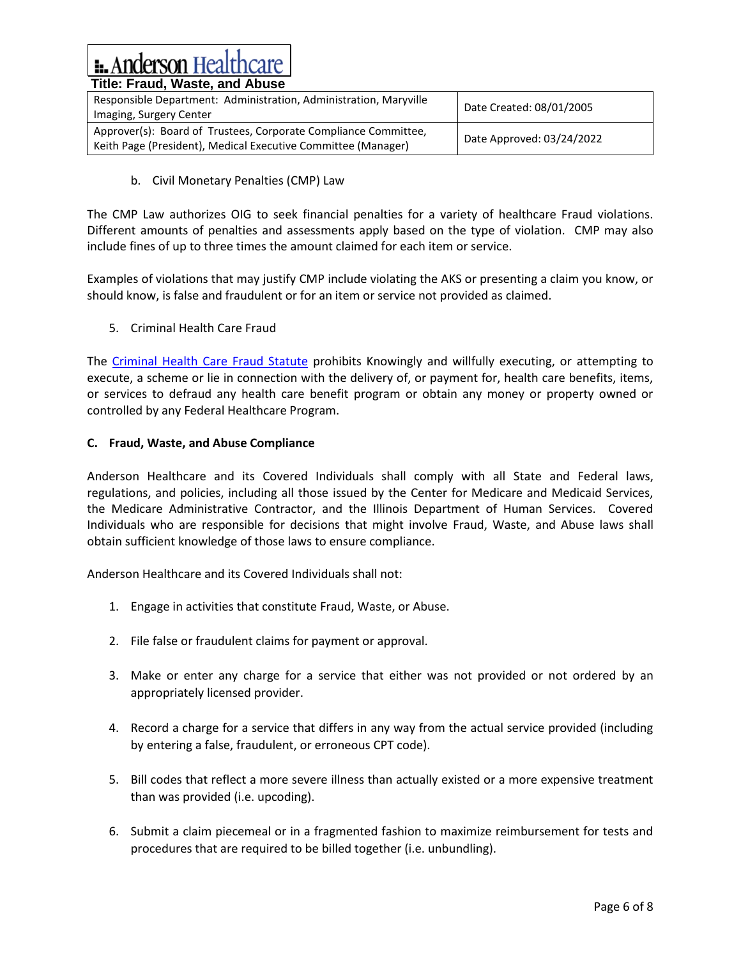## **...** Anderson Healthcare

### **Title: Fraud, Waste, and Abuse**

| Responsible Department: Administration, Administration, Maryville<br>Imaging, Surgery Center                                     | Date Created: 08/01/2005  |
|----------------------------------------------------------------------------------------------------------------------------------|---------------------------|
| Approver(s): Board of Trustees, Corporate Compliance Committee,<br>Keith Page (President), Medical Executive Committee (Manager) | Date Approved: 03/24/2022 |

b. Civil Monetary Penalties (CMP) Law

The CMP Law authorizes OIG to seek financial penalties for a variety of healthcare Fraud violations. Different amounts of penalties and assessments apply based on the type of violation. CMP may also include fines of up to three times the amount claimed for each item or service.

Examples of violations that may justify CMP include violating the AKS or presenting a claim you know, or should know, is false and fraudulent or for an item or service not provided as claimed.

5. Criminal Health Care Fraud

The [Criminal Health Care Fraud Statute](https://www.law.cornell.edu/uscode/text/18/1347) prohibits Knowingly and willfully executing, or attempting to execute, a scheme or lie in connection with the delivery of, or payment for, health care benefits, items, or services to defraud any health care benefit program or obtain any money or property owned or controlled by any Federal Healthcare Program.

### **C. Fraud, Waste, and Abuse Compliance**

Anderson Healthcare and its Covered Individuals shall comply with all State and Federal laws, regulations, and policies, including all those issued by the Center for Medicare and Medicaid Services, the Medicare Administrative Contractor, and the Illinois Department of Human Services. Covered Individuals who are responsible for decisions that might involve Fraud, Waste, and Abuse laws shall obtain sufficient knowledge of those laws to ensure compliance.

Anderson Healthcare and its Covered Individuals shall not:

- 1. Engage in activities that constitute Fraud, Waste, or Abuse.
- 2. File false or fraudulent claims for payment or approval.
- 3. Make or enter any charge for a service that either was not provided or not ordered by an appropriately licensed provider.
- 4. Record a charge for a service that differs in any way from the actual service provided (including by entering a false, fraudulent, or erroneous CPT code).
- 5. Bill codes that reflect a more severe illness than actually existed or a more expensive treatment than was provided (i.e. upcoding).
- 6. Submit a claim piecemeal or in a fragmented fashion to maximize reimbursement for tests and procedures that are required to be billed together (i.e. unbundling).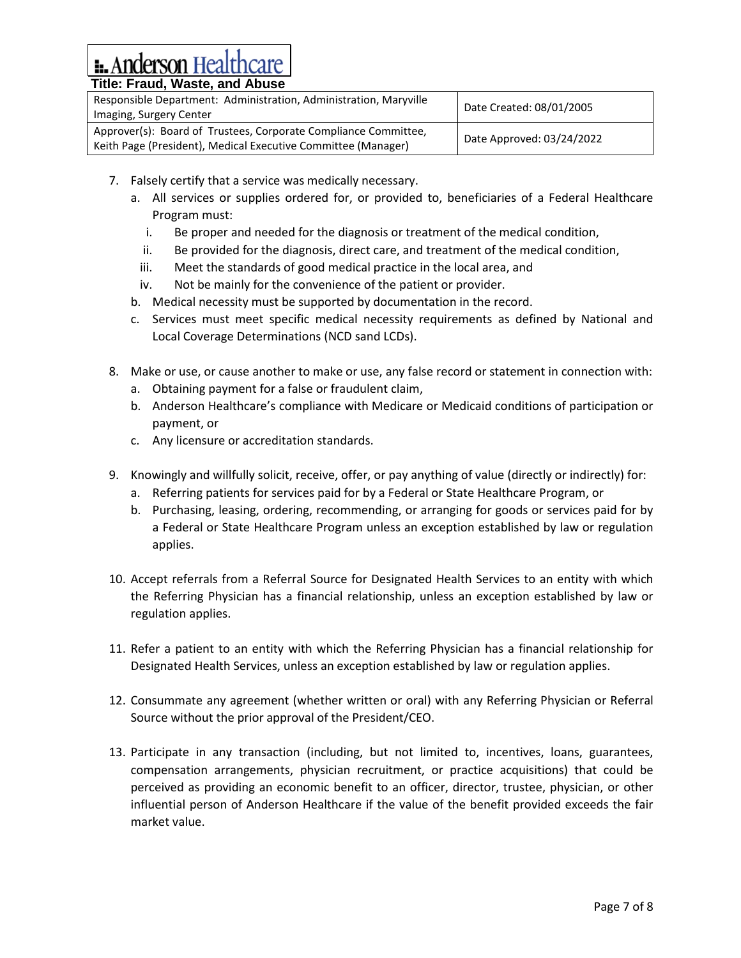### **E.** Anderson Healthcare

### **Title: Fraud, Waste, and Abuse**

| Responsible Department: Administration, Administration, Maryville<br>Imaging, Surgery Center                                     | Date Created: 08/01/2005  |
|----------------------------------------------------------------------------------------------------------------------------------|---------------------------|
| Approver(s): Board of Trustees, Corporate Compliance Committee,<br>Keith Page (President), Medical Executive Committee (Manager) | Date Approved: 03/24/2022 |

- 7. Falsely certify that a service was medically necessary.
	- a. All services or supplies ordered for, or provided to, beneficiaries of a Federal Healthcare Program must:
		- i. Be proper and needed for the diagnosis or treatment of the medical condition,
		- ii. Be provided for the diagnosis, direct care, and treatment of the medical condition,
		- iii. Meet the standards of good medical practice in the local area, and
	- iv. Not be mainly for the convenience of the patient or provider.
	- b. Medical necessity must be supported by documentation in the record.
	- c. Services must meet specific medical necessity requirements as defined by National and Local Coverage Determinations (NCD sand LCDs).
- 8. Make or use, or cause another to make or use, any false record or statement in connection with:
	- a. Obtaining payment for a false or fraudulent claim,
	- b. Anderson Healthcare's compliance with Medicare or Medicaid conditions of participation or payment, or
	- c. Any licensure or accreditation standards.
- 9. Knowingly and willfully solicit, receive, offer, or pay anything of value (directly or indirectly) for:
	- a. Referring patients for services paid for by a Federal or State Healthcare Program, or
	- b. Purchasing, leasing, ordering, recommending, or arranging for goods or services paid for by a Federal or State Healthcare Program unless an exception established by law or regulation applies.
- 10. Accept referrals from a Referral Source for Designated Health Services to an entity with which the Referring Physician has a financial relationship, unless an exception established by law or regulation applies.
- 11. Refer a patient to an entity with which the Referring Physician has a financial relationship for Designated Health Services, unless an exception established by law or regulation applies.
- 12. Consummate any agreement (whether written or oral) with any Referring Physician or Referral Source without the prior approval of the President/CEO.
- 13. Participate in any transaction (including, but not limited to, incentives, loans, guarantees, compensation arrangements, physician recruitment, or practice acquisitions) that could be perceived as providing an economic benefit to an officer, director, trustee, physician, or other influential person of Anderson Healthcare if the value of the benefit provided exceeds the fair market value.